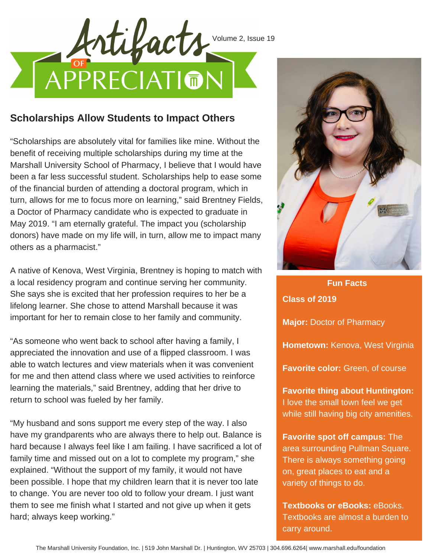

## **Scholarships Allow Students to Impact Others**

"Scholarships are absolutely vital for families like mine. Without the benefit of receiving multiple scholarships during my time at the Marshall University School of Pharmacy, I believe that I would have been a far less successful student. Scholarships help to ease some of the financial burden of attending a doctoral program, which in turn, allows for me to focus more on learning," said Brentney Fields, a Doctor of Pharmacy candidate who is expected to graduate in May 2019. "I am eternally grateful. The impact you (scholarship donors) have made on my life will, in turn, allow me to impact many others as a pharmacist."

A native of Kenova, West Virginia, Brentney is hoping to match with a local residency program and continue serving her community. She says she is excited that her profession requires to her be a lifelong learner. She chose to attend Marshall because it was important for her to remain close to her family and community.

"As someone who went back to school after having a family, I appreciated the innovation and use of a flipped classroom. I was able to watch lectures and view materials when it was convenient for me and then attend class where we used activities to reinforce learning the materials," said Brentney, adding that her drive to return to school was fueled by her family.

"My husband and sons support me every step of the way. I also have my grandparents who are always there to help out. Balance is hard because I always feel like I am failing. I have sacrificed a lot of family time and missed out on a lot to complete my program," she explained. "Without the support of my family, it would not have been possible. I hope that my children learn that it is never too late to change. You are never too old to follow your dream. I just want them to see me finish what I started and not give up when it gets hard; always keep working."



**Class of 2019 Major:** Doctor of Pharmacy **Hometown:** Kenova, West Virginia **Favorite color:** Green, of course **Favorite thing about Huntington:** I love the small town feel we get while still having big city amenities. **Fun Facts**

**Favorite spot off campus:** The area surrounding Pullman Square. There is always something going on, great places to eat and a variety of things to do.

**Textbooks or eBooks:** eBooks. Textbooks are almost a burden to carry around.